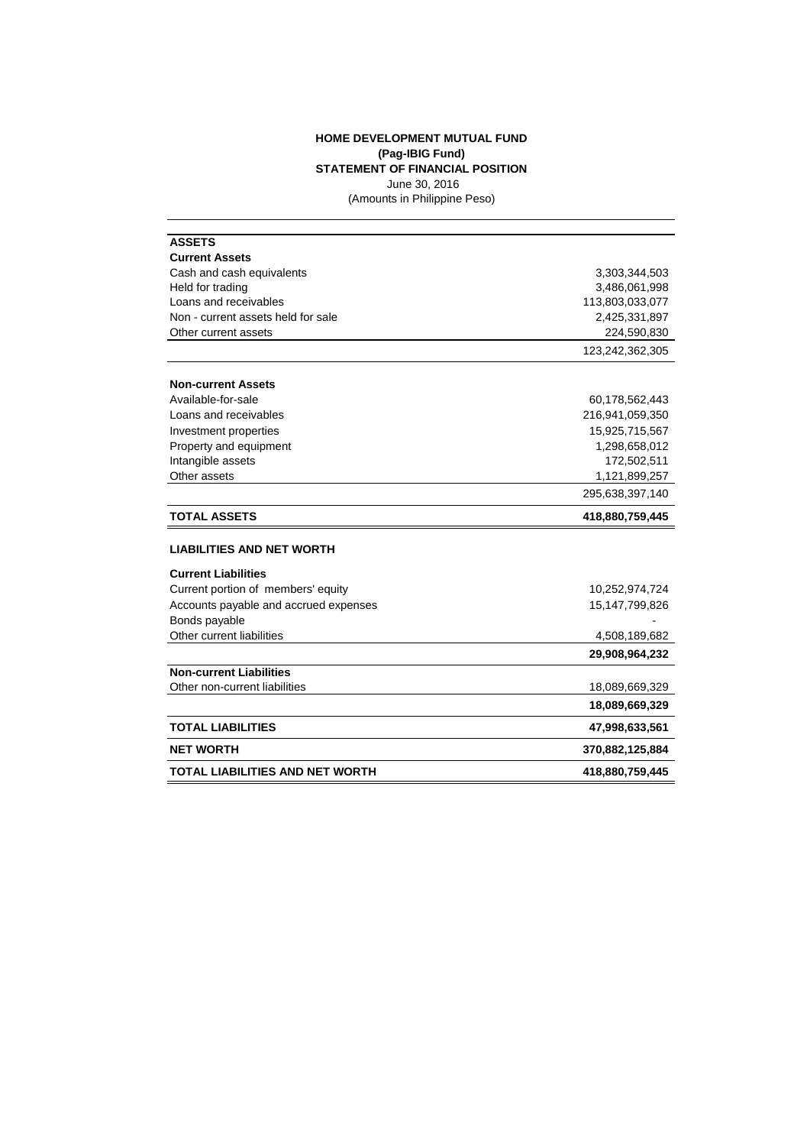## **HOME DEVELOPMENT MUTUAL FUND (Pag-IBIG Fund) STATEMENT OF FINANCIAL POSITION** June 30, 2016

(Amounts in Philippine Peso)

| <b>ASSETS</b>                              |                   |
|--------------------------------------------|-------------------|
| <b>Current Assets</b>                      |                   |
| Cash and cash equivalents                  | 3,303,344,503     |
| Held for trading                           | 3,486,061,998     |
| Loans and receivables                      | 113,803,033,077   |
| Non - current assets held for sale         | 2,425,331,897     |
| Other current assets                       | 224,590,830       |
|                                            | 123,242,362,305   |
| <b>Non-current Assets</b>                  |                   |
| Available-for-sale                         | 60,178,562,443    |
| Loans and receivables                      | 216,941,059,350   |
| Investment properties                      | 15,925,715,567    |
| Property and equipment                     | 1,298,658,012     |
| Intangible assets                          | 172,502,511       |
| Other assets                               | 1,121,899,257     |
|                                            | 295,638,397,140   |
|                                            |                   |
| <b>TOTAL ASSETS</b>                        | 418,880,759,445   |
| <b>LIABILITIES AND NET WORTH</b>           |                   |
| <b>Current Liabilities</b>                 |                   |
| Current portion of members' equity         | 10,252,974,724    |
| Accounts payable and accrued expenses      | 15, 147, 799, 826 |
|                                            |                   |
| Bonds payable<br>Other current liabilities | 4,508,189,682     |
|                                            | 29,908,964,232    |
| <b>Non-current Liabilities</b>             |                   |
| Other non-current liabilities              | 18,089,669,329    |
|                                            | 18,089,669,329    |
| <b>TOTAL LIABILITIES</b>                   | 47,998,633,561    |
| <b>NET WORTH</b>                           | 370,882,125,884   |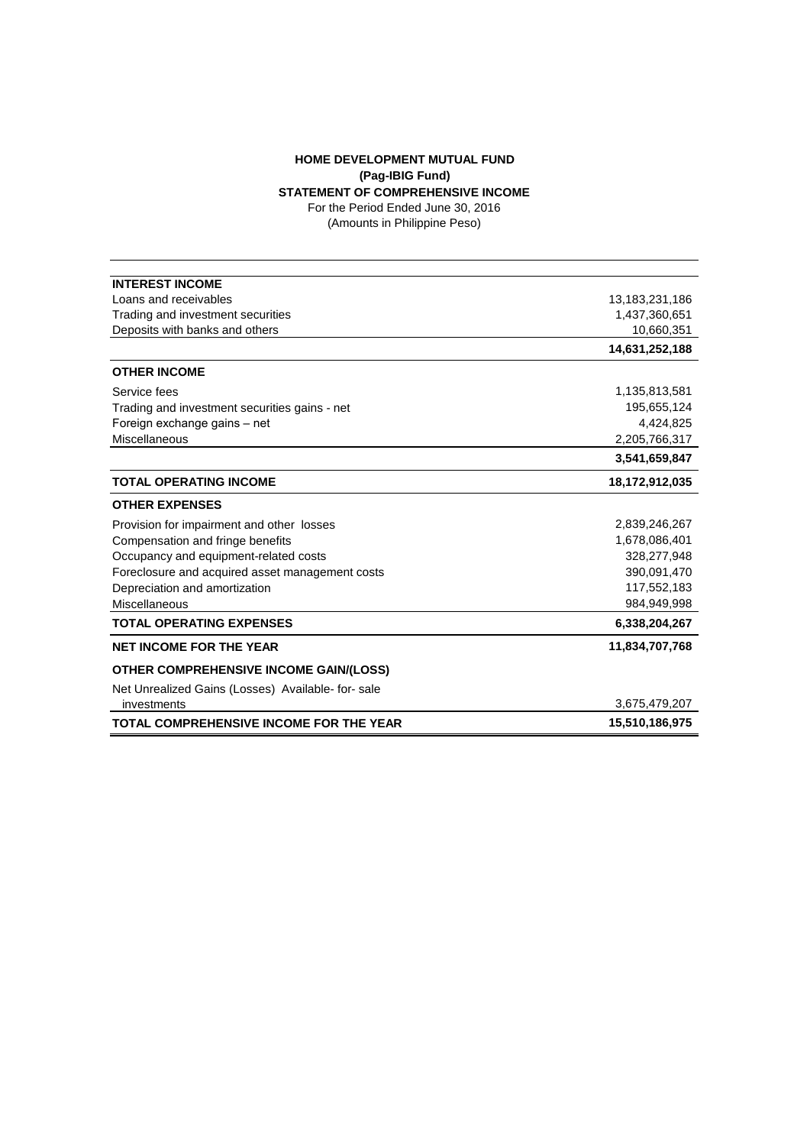## **HOME DEVELOPMENT MUTUAL FUND (Pag-IBIG Fund) STATEMENT OF COMPREHENSIVE INCOME**

For the Period Ended June 30, 2016

(Amounts in Philippine Peso)

| <b>INTEREST INCOME</b>                            |                |
|---------------------------------------------------|----------------|
| Loans and receivables                             | 13,183,231,186 |
| Trading and investment securities                 | 1,437,360,651  |
| Deposits with banks and others                    | 10,660,351     |
|                                                   | 14,631,252,188 |
| <b>OTHER INCOME</b>                               |                |
| Service fees                                      | 1,135,813,581  |
| Trading and investment securities gains - net     | 195,655,124    |
| Foreign exchange gains - net                      | 4,424,825      |
| Miscellaneous                                     | 2,205,766,317  |
|                                                   | 3,541,659,847  |
| <b>TOTAL OPERATING INCOME</b>                     | 18,172,912,035 |
| <b>OTHER EXPENSES</b>                             |                |
| Provision for impairment and other losses         | 2,839,246,267  |
| Compensation and fringe benefits                  | 1,678,086,401  |
| Occupancy and equipment-related costs             | 328,277,948    |
| Foreclosure and acquired asset management costs   | 390,091,470    |
| Depreciation and amortization                     | 117,552,183    |
| Miscellaneous                                     | 984,949,998    |
| <b>TOTAL OPERATING EXPENSES</b>                   | 6,338,204,267  |
| <b>NET INCOME FOR THE YEAR</b>                    | 11,834,707,768 |
| <b>OTHER COMPREHENSIVE INCOME GAIN/(LOSS)</b>     |                |
| Net Unrealized Gains (Losses) Available- for-sale |                |
| investments                                       | 3,675,479,207  |
| <b>TOTAL COMPREHENSIVE INCOME FOR THE YEAR</b>    | 15,510,186,975 |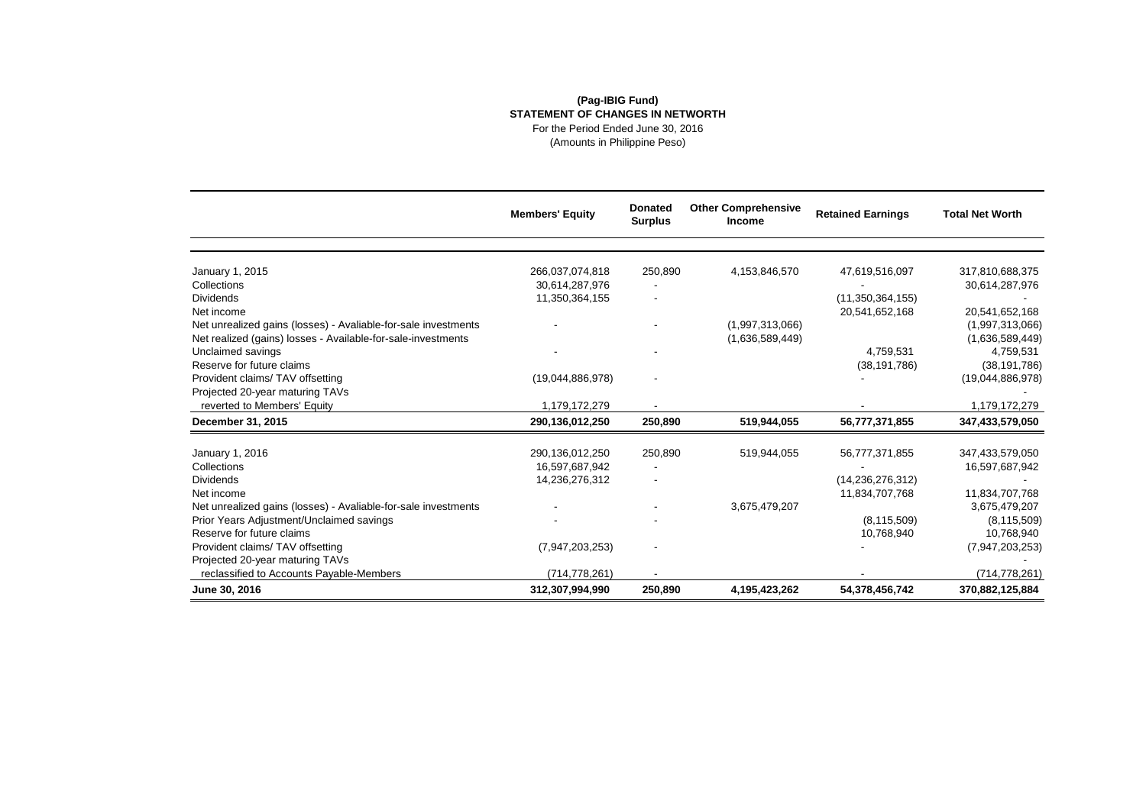## **(Pag-IBIG Fund) STATEMENT OF CHANGES IN NETWORTH** For the Period Ended June 30, 2016

(Amounts in Philippine Peso)

|                                                                | <b>Members' Equity</b> | <b>Donated</b><br><b>Surplus</b> | <b>Other Comprehensive</b><br><b>Income</b> | <b>Retained Earnings</b> | <b>Total Net Worth</b> |
|----------------------------------------------------------------|------------------------|----------------------------------|---------------------------------------------|--------------------------|------------------------|
|                                                                |                        |                                  |                                             |                          |                        |
| January 1, 2015                                                | 266,037,074,818        | 250.890                          | 4,153,846,570                               | 47,619,516,097           | 317,810,688,375        |
| Collections                                                    | 30,614,287,976         |                                  |                                             |                          | 30,614,287,976         |
| <b>Dividends</b>                                               | 11,350,364,155         |                                  |                                             | (11, 350, 364, 155)      |                        |
| Net income                                                     |                        |                                  |                                             | 20,541,652,168           | 20,541,652,168         |
| Net unrealized gains (losses) - Avaliable-for-sale investments |                        |                                  | (1,997,313,066)                             |                          | (1,997,313,066)        |
| Net realized (gains) losses - Available-for-sale-investments   |                        |                                  | (1,636,589,449)                             |                          | (1,636,589,449)        |
| Unclaimed savings                                              |                        |                                  |                                             | 4,759,531                | 4,759,531              |
| Reserve for future claims                                      |                        |                                  |                                             | (38, 191, 786)           | (38, 191, 786)         |
| Provident claims/TAV offsetting                                | (19,044,886,978)       |                                  |                                             |                          | (19,044,886,978)       |
| Projected 20-year maturing TAVs                                |                        |                                  |                                             |                          |                        |
| reverted to Members' Equity                                    | 1.179.172.279          |                                  |                                             |                          | 1.179.172.279          |
| December 31, 2015                                              | 290,136,012,250        | 250,890                          | 519,944,055                                 | 56,777,371,855           | 347,433,579,050        |
|                                                                |                        |                                  |                                             |                          |                        |
| January 1, 2016                                                | 290,136,012,250        | 250,890                          | 519,944,055                                 | 56,777,371,855           | 347,433,579,050        |
| Collections                                                    | 16,597,687,942         |                                  |                                             |                          | 16,597,687,942         |
| <b>Dividends</b>                                               | 14,236,276,312         |                                  |                                             | (14, 236, 276, 312)      |                        |
| Net income                                                     |                        |                                  |                                             | 11,834,707,768           | 11,834,707,768         |
| Net unrealized gains (losses) - Avaliable-for-sale investments |                        |                                  | 3,675,479,207                               |                          | 3,675,479,207          |
| Prior Years Adjustment/Unclaimed savings                       |                        |                                  |                                             | (8, 115, 509)            | (8, 115, 509)          |
| Reserve for future claims                                      |                        |                                  |                                             | 10,768,940               | 10,768,940             |
| Provident claims/TAV offsetting                                | (7,947,203,253)        |                                  |                                             |                          | (7,947,203,253)        |
| Projected 20-year maturing TAVs                                |                        |                                  |                                             |                          |                        |
| reclassified to Accounts Payable-Members                       | (714, 778, 261)        |                                  |                                             |                          | (714, 778, 261)        |
| June 30, 2016                                                  | 312,307,994,990        | 250,890                          | 4,195,423,262                               | 54,378,456,742           | 370,882,125,884        |